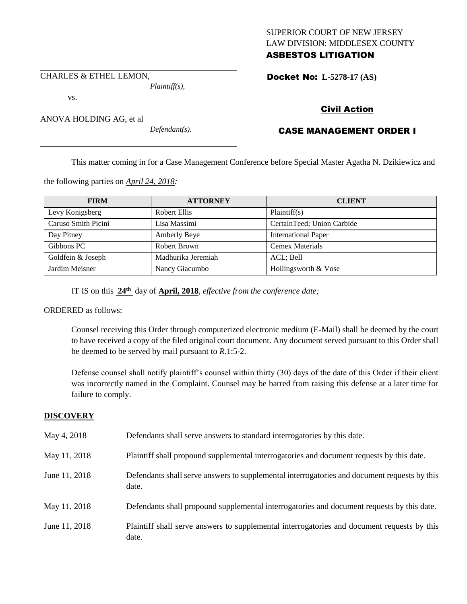## SUPERIOR COURT OF NEW JERSEY LAW DIVISION: MIDDLESEX COUNTY ASBESTOS LITIGATION

Docket No: **L-5278-17 (AS)** 

CHARLES & ETHEL LEMON,

ANOVA HOLDING AG, et al

vs.

*Plaintiff(s),*

*Defendant(s).*

Civil Action

# CASE MANAGEMENT ORDER I

This matter coming in for a Case Management Conference before Special Master Agatha N. Dzikiewicz and

the following parties on *April 24, 2018:*

| <b>FIRM</b>         | <b>ATTORNEY</b>    | <b>CLIENT</b>              |
|---------------------|--------------------|----------------------------|
| Levy Konigsberg     | Robert Ellis       | Plaintiff(s)               |
| Caruso Smith Picini | Lisa Massimi       | CertainTeed; Union Carbide |
| Day Pitney          | Amberly Beye       | <b>International Paper</b> |
| Gibbons PC          | Robert Brown       | <b>Cemex Materials</b>     |
| Goldfein & Joseph   | Madhurika Jeremiah | ACL: Bell                  |
| Jardim Meisner      | Nancy Giacumbo     | Hollingsworth & Vose       |

IT IS on this **24th** day of **April, 2018**, *effective from the conference date;*

ORDERED as follows:

Counsel receiving this Order through computerized electronic medium (E-Mail) shall be deemed by the court to have received a copy of the filed original court document. Any document served pursuant to this Order shall be deemed to be served by mail pursuant to *R*.1:5-2.

Defense counsel shall notify plaintiff's counsel within thirty (30) days of the date of this Order if their client was incorrectly named in the Complaint. Counsel may be barred from raising this defense at a later time for failure to comply.

## **DISCOVERY**

| May 4, 2018   | Defendants shall serve answers to standard interrogatories by this date.                              |  |
|---------------|-------------------------------------------------------------------------------------------------------|--|
| May 11, 2018  | Plaintiff shall propound supplemental interrogatories and document requests by this date.             |  |
| June 11, 2018 | Defendants shall serve answers to supplemental interrogatories and document requests by this<br>date. |  |
| May 11, 2018  | Defendants shall propound supplemental interrogatories and document requests by this date.            |  |
| June 11, 2018 | Plaintiff shall serve answers to supplemental interrogatories and document requests by this<br>date.  |  |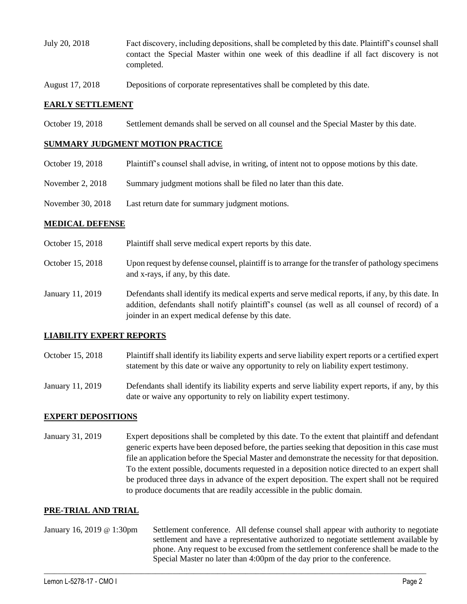- July 20, 2018 Fact discovery, including depositions, shall be completed by this date. Plaintiff's counsel shall contact the Special Master within one week of this deadline if all fact discovery is not completed.
- August 17, 2018 Depositions of corporate representatives shall be completed by this date.

#### **EARLY SETTLEMENT**

October 19, 2018 Settlement demands shall be served on all counsel and the Special Master by this date.

### **SUMMARY JUDGMENT MOTION PRACTICE**

- October 19, 2018 Plaintiff's counsel shall advise, in writing, of intent not to oppose motions by this date.
- November 2, 2018 Summary judgment motions shall be filed no later than this date.
- November 30, 2018 Last return date for summary judgment motions.

#### **MEDICAL DEFENSE**

- October 15, 2018 Plaintiff shall serve medical expert reports by this date.
- October 15, 2018 Upon request by defense counsel, plaintiff is to arrange for the transfer of pathology specimens and x-rays, if any, by this date.
- January 11, 2019 Defendants shall identify its medical experts and serve medical reports, if any, by this date. In addition, defendants shall notify plaintiff's counsel (as well as all counsel of record) of a joinder in an expert medical defense by this date.

## **LIABILITY EXPERT REPORTS**

- October 15, 2018 Plaintiff shall identify its liability experts and serve liability expert reports or a certified expert statement by this date or waive any opportunity to rely on liability expert testimony.
- January 11, 2019 Defendants shall identify its liability experts and serve liability expert reports, if any, by this date or waive any opportunity to rely on liability expert testimony.

### **EXPERT DEPOSITIONS**

January 31, 2019 Expert depositions shall be completed by this date. To the extent that plaintiff and defendant generic experts have been deposed before, the parties seeking that deposition in this case must file an application before the Special Master and demonstrate the necessity for that deposition. To the extent possible, documents requested in a deposition notice directed to an expert shall be produced three days in advance of the expert deposition. The expert shall not be required to produce documents that are readily accessible in the public domain.

#### **PRE-TRIAL AND TRIAL**

January 16, 2019 @ 1:30pm Settlement conference. All defense counsel shall appear with authority to negotiate settlement and have a representative authorized to negotiate settlement available by phone. Any request to be excused from the settlement conference shall be made to the Special Master no later than 4:00pm of the day prior to the conference.

 $\_$  ,  $\_$  ,  $\_$  ,  $\_$  ,  $\_$  ,  $\_$  ,  $\_$  ,  $\_$  ,  $\_$  ,  $\_$  ,  $\_$  ,  $\_$  ,  $\_$  ,  $\_$  ,  $\_$  ,  $\_$  ,  $\_$  ,  $\_$  ,  $\_$  ,  $\_$  ,  $\_$  ,  $\_$  ,  $\_$  ,  $\_$  ,  $\_$  ,  $\_$  ,  $\_$  ,  $\_$  ,  $\_$  ,  $\_$  ,  $\_$  ,  $\_$  ,  $\_$  ,  $\_$  ,  $\_$  ,  $\_$  ,  $\_$  ,